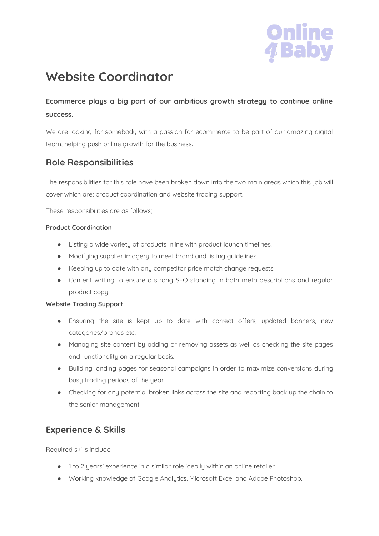

# **Website Coordinator**

## **Ecommerce plays a big part of our ambitious growth strategy to continue online success.**

We are looking for somebody with a passion for ecommerce to be part of our amazing digital team, helping push online growth for the business.

#### **Role Responsibilities**

The responsibilities for this role have been broken down into the two main areas which this job will cover which are; product coordination and website trading support.

These responsibilities are as follows;

#### **Product Coordination**

- Listing a wide variety of products inline with product launch timelines.
- Modifying supplier imagery to meet brand and listing guidelines.
- Keeping up to date with any competitor price match change requests.
- Content writing to ensure a strong SEO standing in both meta descriptions and regular product copy.

#### **Website Trading Support**

- Ensuring the site is kept up to date with correct offers, updated banners, new categories/brands etc.
- Managing site content by adding or removing assets as well as checking the site pages and functionality on a regular basis.
- Building landing pages for seasonal campaigns in order to maximize conversions during busy trading periods of the year.
- Checking for any potential broken links across the site and reporting back up the chain to the senior management.

#### **Experience & Skills**

Required skills include:

- 1 to 2 years' experience in a similar role ideally within an online retailer.
- Working knowledge of Google Analytics, Microsoft Excel and Adobe Photoshop.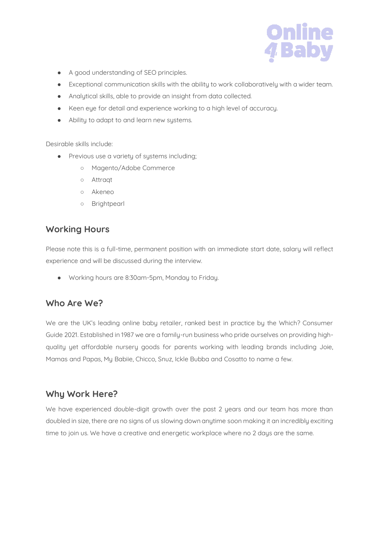

- A good understanding of SEO principles.
- Exceptional communication skills with the ability to work collaboratively with a wider team.
- Analytical skills, able to provide an insight from data collected.
- Keen eye for detail and experience working to a high level of accuracy.
- Ability to adapt to and learn new systems.

Desirable skills include:

- Previous use a variety of systems including;
	- Magento/Adobe Commerce
	- Attraqt
	- Akeneo
	- Brightpearl

#### **Working Hours**

Please note this is a full-time, permanent position with an immediate start date, salary will reflect experience and will be discussed during the interview.

● Working hours are 8:30am-5pm, Monday to Friday.

## **Who Are We?**

We are the UK's leading online baby retailer, ranked best in practice by the Which? Consumer Guide 2021. Established in 1987 we are a family-run business who pride ourselves on providing highquality yet affordable nursery goods for parents working with leading brands including Joie, Mamas and Papas, My Babiie, Chicco, Snuz, Ickle Bubba and Cosatto to name a few.

## **Why Work Here?**

We have experienced double-digit growth over the past 2 years and our team has more than doubled in size, there are no signs of us slowing down anytime soon making it an incredibly exciting time to join us. We have a creative and energetic workplace where no 2 days are the same.